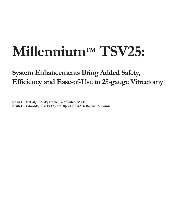# **MillenniumTM TSV25:**

## **System Enhancements Bring Added Safety, Efficiency and Ease-of-Use to 25-gauge Vitrectomy**

**Brian D. McCary, BSEE; Daniel C. Splinter, BSEE; Keith H. Edwards, BSc FCOptomDip CLP FAAO, Bausch & Lomb**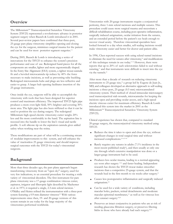## **Overview**

The Millennium™ Transconjunctival Sutureless Vitrectomy System (TSV25) represented a revolutionary advance in posterior segment surgery when Bausch & Lomb introduced it in 2001. Several peer-review papers have confirmed that three-port, 25-gauge pars plana vitrectomy simplifies opening and closing the eye for the surgeon, minimizes surgical trauma for the patient and can be used for most posterior segment surgeries.<sup>1-6</sup>

During 2005, Bausch & Lomb is introducing a series of innovations for the TSV25 to enhance the system's precision performance and ease of use. Redesigned hand-pieces for all the components are smaller, lighter and more ergonomically shaped. In the Entry Site Alignment (ESA) system, a tighter trocar-cannula fit and a beveled microcannula tip reduce by 40% the force necessary to make incisions, as well as preventing tube buckling. Redesigned microcannula hubs and plugs are less reflective and easier to grasp. A larger hub opening facilitates insertion of the 25-gauge instruments.

Once inside the eye, surgeons will be able to accomplish the vitrectomy with tools that have been designed for superior control and maximum efficiency. The improved TSV25 light pipe produces a more even light field, 50% brighter and covering 30% more area. The light pipe has also been stiffened so that it can be used to position the eye during surgery. The redesigned Millennium high-speed electric vitrectomy cutter weighs 20% less and fits more comfortably in the hand. The aspiration line is recessed into the handle to lower the line's visual and tactile profile. A soft silicone tip on the aspiration cannula gives added safety when working near the retina.

These modifications are part of what will be a continuing stream of modular improvements to this system, and will enhance the value of tractionless 25 gauge vitrectomy and should improve surgical outcomes with the TSV25 for today's vitreoretinal surgeons.

## **Background**

More than three decades ago, the pars plana approach began transforming vitrectomy from an "open sky" surgery, used for very few indications, to an essential procedure for treating a wide variety of vitreoretinal disorders. The first instrument for pars plana vitrectomy was a 17-gauge combination vitreous cutter, aspirator, irrigator and fiberoptic light described by Machemer et al. in 1971; it required a single, 2.3-mm scleral incision. <sup>7</sup> O'Malley and Heintz refined the instrumentation with a three-port system featuring a 0.9-mm diameter vitrector.<sup>8-9</sup> With various improvements since then, 19- and 20-gauge versions of this system remain in use today for the large majority of the vitrectomies performed worldwide.

Vitrectomies with 20-gauge instruments require a conjunctival peritomy, three 1-mm scleral incisions and multiple sutures. This procedure could cause more surgical trauma and necessitate a difficult rehabilitation course, including post-operative inflammation, surgically induced astigmatism, ocular irritation from the sutures, and an extended period before the patient's eye heals enough to recover visual acuity. Therefore vitreoretinal specialists have looked forward to a day when smaller, self-sealing incisions would make vitrectomy easier and better for doctor and patient alike.

In 1996, Chen reported success with using scleral tunnel incisions to eliminate the need for sutures after vitrectomy, $10$  and modifications of this technique remain in use today.11-16 However, there were reports that up to 20% of such sclerotomies failed to seal without suturing,<sup>17</sup> and that instruments were difficult to insert into the eye via the tunnels.<sup>16</sup>

After more than a decade of research on reducing vitrectomy instruments to 25-gauge size,<sup>18</sup> a group led by Eugene de Juan Jr., MD, and colleagues developed an alternative approach to self-sealing incisions: a three-port, 25-gauge (0.5 mm) microcannulated vitrectomy system. Their method of closed intraocular microsurgery used transconjuctival stab wounds, microcannulas for keeping the incisions open and providing ocular access, and a high-speed electric vitreous cutter for maximum efficiency. Bausch & Lomb introduced this system into the market in 2001 as the Millennium™ Transconjunctival Sutureless Vitrectomy System (TSV25).

Clinical experience has shown that, compared to standard 20-gauge surgery, the transconjuctival vitrectomy method using TSV25:

- Reduces the time it takes to open and close the eye, without significant changes in total surgical time and without increased complications.<sup>2,5-6,19-20</sup>
- Rarely requires any sutures in adults (7.1% incidence in the most recent published study<sup>6</sup>), and then usually at only one site through which extensive manipulation was done or a larger-gauge instrument had to be used.
- Produces less ocular trauma, leading to a normal-appearing  $\bullet$ eye soon after surgery <sup>2,5,6</sup> and faster healing. Independent research has shown the TSV25 trocar makes smoother incisions than a competitive 25-gauge system, and that the wounds heal in the first month to six weeks after surgery.<sup>21</sup>
- Causes less postoperative inflammation and surgically induced astigmatism.2,6
- Can be used for a wide variety of conditions, including macular holes, puckers, retinal detachments and moderate macular epiretinal membranes,<sup>1,6</sup> as well as for vitreous loss after cataract surgery.19,20
- Preserves an intact conjunctiva in patients who are at risk of needing glaucoma filtration surgery, or preserves filtering blebs in those who have already had such surgery.<sup>22,23</sup>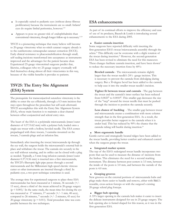- Is especially suited to pediatric eyes (without dense fibrous  $\bullet$ proliferation) because the instruments are so small. Infants' eyes do require limbal peritomies, however.5,24
- Appears to pose no greater risk of endophthalmitis than conventional vitrectomy, though longer follow-up is necessary.<sup>1,5,20</sup>

TSV25 is a pioneering technique that many believe will become to 20-gauge vitrectomy what no-stitch cataract surgery already is to the cumbersome extracapsular cataract extraction (ECCE). Early clinical resistance to phacoemulsification through small, self-sealing incisions transformed into acceptance as instruments improved and the advantages for the patient became clear. Experienced 25-gauge vitreoretinal surgeons predict that, likewise, colleagues who try 25-gauge surgery eventually will find themselves doing almost all their vitrectomies in this way, because of the visible benefits it provides to patients.

## **TSV25: The Entry Site Alignment (ESA) System**

The prerequisite for transconjuctival sutureless vitrectomy is the ability to enter the eye efficiently, through a 0.5-mm incision that stays open throughout the procedure but self-seals afterward. TSV25 accomplishes this with the Entry Site Alignment System (ESA), whose main function is to maintain a clear channel between offset conjunctival and scleral entry sites.

The heart of the ESA is a polyimide microcannula (inner/outer diameter of 0.57/0.62 mm) with a polymer hub, loaded onto a single-use trocar with a hollow, beveled needle. The ESA comes prepackaged with three trocars, 3 cannulas mounted on the trocars, 3 cannula plugs and an infusion line.

Immediately after inserting the trocar/microcannula tip through the eye wall, the surgeon holds the microcannula's external hub in place and withdraws the trocar. The cannula sits securely in the eye wall without suturing, and its orifice can be closed with a plug as needed. Typically, a 5-mm long infusion cannula (inner/outer diameter 0.37/0.56 mm) is inserted into a first microcannula, the TSV25's fiberoptic light pipe passes through a second microcannula and the Millennium high-speed electric vitreous cutter or other instruments are inserted through a third. In pediatric eyes, a two-port technique sometimes is used.

The average time for experienced surgeons to place three ESA microcannulas has been measured at 1 minute, 36 seconds (+/- 13 secs), about a third of the mean achieved in 20-gauge surgery  $(p \le 0.001)$ .<sup>1</sup> In the same study, the mean time for closing the eye was measured at 17 minutes, 17 seconds  $(+/- 1 \text{ min}, 48 \text{ secs})$ , compared to 26 minutes, 7 seconds (+/- 2 minutes, 45 secs) for 20-gauge vitrectomy ( $p = 0.011$ ). Total procedure time was comparable between the two techniques.

### **ESA enhancements**

As part of its continual efforts to improve the efficiency and ease of use of its products, Bausch & Lomb is introducing several enhancements to the ESA during 2005.

#### **Easier cannula insertion**

Some surgeons have reported difficulty with inserting the first-generation ESA's trocar/microcannula assembly through the sclera.<sup>25</sup> This difficulty can be overcome with a slight rotation of the trocar during insertion.<sup>26</sup> However, the second-generation ESA has been revised to eliminate the need for this maneuver. These changes facilitate cannula insertion, and have been shown<sup>27</sup> to reduce the necessary insertion force by 40%:

**Beveled cannula** - The microcannula remains slightly larger than the trocar needle's 24½ -gauge incision. This is necessary to prevent the cannula from dislodging during surgery. But a 30-degree bevel has been added to the cannula to help ease it into the smaller trocar needle's incision.

**Tighter fit between trocar and cannula** - The gap between the trocar and the cannula's inner surface has been reduced from 0.0025" to 0.0010". This smaller gap decreases the size of the "step" around the trocar needle that must be pushed through the incision to position the cannula securely.

**Less chance of buckling** - The smaller gap between trocar and microcannula creates a combination with more column strength than in the first-generation ESA. As a result, the trocar provides better support to the cannula when it is under load. This has reduced by 90% the chance that the cannula tubing will buckle during insertion.<sup>28</sup>

#### **More ergonomic handle**

Gentle curves and strategically located ridges have been added to the trocar handle, providing better comfort and enhanced control when the surgeon grasps the trocar.

#### **Integrated marker system**

The top of the ESA's redesigned trocar handle incorporates two posts that can be used to measure the distance of incisions from the limbus. This eliminates the need for a second marking instrument. The distance between post centers is 3.5 mm, between the inside of the posts is 3.0 mm, and between the outside of the posts is 4.0 mm.

#### **Grasping grooves**

New grooves on the external portions of microcannula hubs and plugs make them easier to handle and remove, either with B&L's reusable, cross-action forceps or with the surgeon's existing 20-gauge scleral plug forceps.

#### **Bigger hub opening**

A 33% larger opening in the cannula hub makes it easier to insert the delicate instruments designed for use in 25-gauge surgery. The hub opening also is funnel-shaped for this reason, as it was in the first-generation ESA.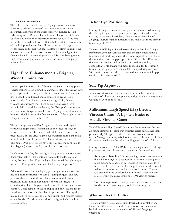#### **Revised hub surface**

The color of the cannula hub in 25-gauge transconjunctival vitrectomy affects the ease of instrument insertion as the instrument designers at the Microsurgery Advanced Design Laboratory at the Doheny Retina Institute, University of Southern California found in their laboratory comparisons.28 If the hub is black, the hole is diffiult to see. If the hole is white, visualization of the hub portal is excellent. However, white coloring and a glossy finish on the hub can cause a flash of bright light into the microscope when the surgeon inserts the fiberoptic light pipe. Cannula hubs in the second-generation ESA have been given a slight texture and gray color to reduce the flash effects; plugs remain blue.

## **Light Pipe Enhancements - Brighter, Wider Illumination**

Endoscopic illumination for 25-gauge intraocular surgery poses special challenges for biomedical engineers. Since the earliest days of pars plana vitrectomy, it has been known that the fiberoptic light needed to be filtered and modulated to avoid retinal phototoxicity from blue and ultraviolet light.<sup>29</sup> So, though vitreoretinal surgeons must have enough light over a large enough field to work inside the eye, the fiberoptic's spot cannot be too intense. Surgeons familiar with 25-gauge endoilluminators have said the light from the first generation of these light pipes is adequate, but needs to be better.<sup>6,31</sup>

The second-generation TSV25 light pipe has been designed to provide bright but safe illumination for excellent surgeon visualization. It uses the same metal halide light source as its predecessor, but an acrylic light fiber transmits more light and is more flexible than the glass fiber that previously was used.<sup>27</sup> The new TSV25 light pipe is 50% brighter and the light field is 30% bigger (measured at 2") than the earlier version.

In laboratory studies, the new light pipe produced a more evenly illuminated field of light, without noticeable shaded areas or spots, than two other 25-gauge light pipes tested. Its light output was up to 15% greater than that of a leading competitor.<sup>27</sup>

Additional revisions in the light pipe's design make it easier to use and more comfortable to handle during surgery. The new pipe attaches to the dual port illumination module via a precision-molded, modular connector with an integrated centering ring. The light pipe handle is smaller, increasing surgeon comfort. Using acrylic for the fiberoptic and polyethelene for the sheath makes it more flexible than its predecessor. This quality makes the light pipe easier to coil and uncoil, and reduces torque on the handle. The shorter length of the light-pipe's handle also reduces torque.

## **Better Eye Positioning**

During 20-gauge vitrectomies, surgeons are accustomed to using the fiberoptic light pipe to position the eye, particularly when working in the retinal periphery. The increased flexibility of 25-gauge instrumentation heretofore has made this more difficult to accomplish.<sup>6,26,30,31</sup>

The new TSV25 light pipe addresses this problem by adding a stiffening sleeve between the pipe and the ESA microcannula. Mathematical modeling shows that, under equivalent conditions, this would increase the pipe's perceived stiffness by 118% from the previous version, and by 50% compared to a leading competitor.32 This change will make it possible for the surgeon to rely on the light pipe to manipulate the eye during surgery. Vitreoretinal surgeons who have worked with the new light pipe confirm this characteristic.<sup>27</sup>

## **Soft Tip Aspirator**

A new soft silicone tip for the aspiration cannula enhances extrusion of oil used for tamponade, and gives added safety when working near or on the retina.

## **Millennium High Speed (HS) Electric Vitreous Cutter - A Lighter, Easier to Handle Vitreous Cutter**

The Millennium High-Speed Vitrectomy Cutter remains the only 25-gauge vitreous dissector that operates electrically, rather than pneumatically. The speed of this unique vitreous cutter not only makes 25-gauge vitrectomy take less time than it otherwise would, but also reduces traction on the retina by taking quick "bites" of tissue.

During the course of 2005, B&L is introducing a series of design improvements that will enhance the vitrector's ease-of-use.

**Redesigned handle** - After consulting vitreoretinal surgeons the handle's weight was reduced by 20%. It also was given a more ergonomic shape, with grooves in the grip area, for a better tactile feel and easier handling. It is also smaller, which reduces arm movement and lessens cord torque. Thus it is easier and more comfortable to use, and is less likely to interfere with the microscope or BIOM viewing system.

**Cord management** - The aspiration line is recessed into the handle surface, lowering its profile for the surgeon.

## **Why an Electric Cutter?**

The pneumatic vitreous cutter first described by O'Malley and Heintz in 1975 proved to be the key piece of instrumentation behind more than a quarter-century of 19- and 20-gauge vitrectomies.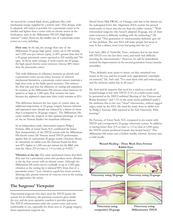Air moved the vertical blade down, guillotine-like, with mechanical energy supplied by a remote unit.<sup>9</sup> This design, widely adopted, still makes it possible for a pneumatic cutter to be smaller and lighter than a cutter with an electric motor in the hand-piece, such as the Millennium TSV25's High Speed vitreous<sup>TM</sup> cutter. However, the smaller size of a pneumatic cutter comes at a cost, including:

**Flow rate:** In the lab, the average flow rate of the Millennium 25-gauge high speed cutter, set at 500 mmHg and 1,500 cuts per minute (cpm), is 40% greater than that of a 20-gauge pneumatic cutter operated at 250 mmHg and 750 cpm. At those same settings, if both cutters are 20 gauge, the high-speed electric cutter removes vitreous 88% faster than the pneumatic cutter.<sup>1</sup>

This wide difference in efficiency between an electric and a pneumatic cutter occurs when, because of inherent mechanical limitations, a pneumatic cutter cannot maintain a high duty cycle as the blade speed increases. This reduces the flow rate and thus the efficiency of cutting and aspiration. In contrast, as the Millennium HS vitreous cutter increases its speed to as high as 1,500 cpm, flow remains the same because the aspirator's open time (duty cycle) remains at 50%.

This difference between the two types of cutters takes on additional importance in 25-gauge surgery, because infusion and aspiration rates already are reduced by a factor of more than 6 compared to 20-gauge surgery.<sup>1</sup> The Millennium HS cutter enables the surgeon to take optimal advantage of state of the art Venturi fluidics for maximum efficiency.

In an independent study, vitreoretinal surgeon Philip J. Ferrone, MD, of Great Neck, N.Y., confirmed the better flow characteristics of the TSV25 system with the Millennium HS electric cutter. Dr. Ferrone tested TSV25 performance against that of a pneumatic 25-gauge system (Accurus, Alcon). In vitrectomy on rabbit eyes, Dr. Ferrone found the flow was 50% higher at 1,500 cuts per minute for the B&L unit than the Alcon (2.9 cc/min vs. 1.9 cc/min,  $p=0.023$ ).<sup>21</sup>

**Vibration at the tip:** The same mechanical forces that limit flow rate for a pneumatic cutter also produce more vibration at the tip than occurs with an electric cutter. Although the Millennium HS cutter moves vertically at up to 1,500 cpm, vibration at the cutting tip is reduced 90% from that of a pneumatic cutter.26 Less vibration equals less tissue motion, allowing safe, precise removal of vitreous even as the cutting tip approaches the retina.

## **The Surgeons' Viewpoint**

Vitreoretinal surgeons who have used the TSV25 praise the system for its efficiency, the precision control it gives inside the eye, and the post-operative comfort it provides patients. The TSV25 enhancements make the system easier and more comfortable to use, especially for those new to 25-gauge surgery, these experienced surgeons say.

David Chow, MD, FRCSC, of Chicago, said that in his clinical use the redesigned Entry Site Alignment (ESA) system has proved much easier to insert into the eye than the earlier version.<sup>33</sup> "With vitreoretinal surgeons who haven't adopted 25-gauge, one of their main concerns is difficulty working with the technology," Dr. Chow said. "This generation of microcannulas definitely gets rid of that problem. The new ESA will make people feel more at ease. It has a slicker, more even feel going into the eye."

Carl Awh, MD, of Nashville, Tenn., estimates that he has done 600 TSV25 over the last three years, and rarely had difficulty inserting the microcannulas.<sup>34</sup> However, he said he immediately noticed the improvements in the second-generation trocar/cannula assemblies.

"They definitely were easier to insert, yet they remained very secure in the eye, and the wounds were appropriately watertight on removal," Dr. Awh said. "I've used them with and without gas, and the incisions sealed fine in all cases."

Dr. Awh said he suspects that need for a stitch as a result of wound leakage is low with TSV25 (1.3% in a multi-center study he presented at the 2002 Combined Meeting of the Vitreous and Retina Societies,<sup>35</sup> and 7.1% in the most recent published study<sup>6</sup>). He attributes this to the very "clean" sclerotomies, without ragged edges, made by the ESA. He cited the study done in rabbit eyes by Philip J. Ferrone, MD, reported at the Vail Vitrectomy 2004 meeting.<sup>21</sup>

Dr. Ferrone, of Great Neck, N.Y., compared *in vivo* results with TSV25 and a competitor's 25-gauge vitrectomy system. In addition to having better flow  $(2.9 \text{ cc/min})$  vs. 1.9 cc/min at 1,500 cpm), the TSV25 system produced wounds that healed better.<sup>21</sup> The Millennium HS cutter uses a hollow needle; whereas Accurus uses a solid needle.

#### **Wound Healing - Three Week Data Ferrone Rabbit Eyes**





**Vitrectomy using competitive 25-gauge**



**Vitrectomy using 20-gauge Vitrectomy using 23-gauge**



**Vitrectomy using Millenniumm TSV25**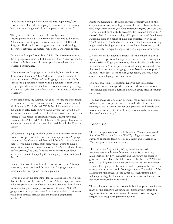"The wound healing is better with the B&L type entry," Dr. Ferrone said. "The other company's trocar went in more easily, but the wounds in general did not appear to heal as well."36

This year, Dr. Ferrone repeated his study using the second-generation ESA. His results are expected to be at the 2005 summer meeting of the American Society of Retinal Surgeons. Early indicators suggest that the wound-healing difference between the systems will persist, Dr. Ferrone said.

Dr. Awh said he performs about 75% of his vitrectomies using the 25-gauge technique - all of them with the TSV25 because he prefers the Millennium HS cutter's precise, tractionless and efficient performance.

"I have the other 25-gauge system available, but there is a real difference in the cutter," Dr. Awh said. "The Millennium HS cutter is the most efficient of the 25-gauge cutters, and it's far superior to a pneumatic cutter. With a pneumatic cutter, when you go up in the cut rate, the lumen is open a smaller percentage of the duty cycle. And therefore the flow drops, and so does the efficiency."

At the same time, the surgeon can choose to use the Millennium HS cutter at very low flow and gain even more precise control within the eye, Dr. Awh said. "With the high-speed cutter and the ability to effectively remove tissue at very low flow, it allows me to use the cutter to do a lot of delicate dissection close to the surface of the retina - in situations where I might have used scissors before," he said. "The delicacy of 25-gauge allows me to maneuver the cutter tip into areas inaccessible with the 20-gauge cutter."

Of course, a 25-gauge needle is so small that no vitrector of that size can ever perform vitreous removal as quickly as a 20-gauge system can, Dr. Chow noted. Nor will it be able to handle every case. "If you have a thick, thick scar, you are going to have a harder time getting that tissue removed. That's something physics can't overcome," he said. "But the reality is that most fibrous membranes aren't of a quality that a 25-gauge cutter can't handle them."

Better patient comfort and quick visual recovery after 25-gauge vitrectomy have convinced Dr. Awh that 25-gauge surgery represents the best option for most patients.

"Even if I know the case might take me a little bit longer, I feel that it is better for the patient," he said. "On average, my macular epiretinal patients achieve better-than-preoperative vision by one week after 25-gauge surgery, two weeks at the most. With 20 gauge, those same patients would have to wait eight or 10 weeks while their stitches dissolve and the induced astigmatism resolves."

Another advantage of 25-gauge surgery is preservation of the conjunctiva in patients with glaucoma filtering blebs or in those who might later require glaucoma filtration surgery, Dr. Awh said. He was co-author of a study presented by Brandon Busbee, MD, also of Nashville, demonstrating 100% preservation of functioning glaucoma blebs in a series of nine eyes operated on with the TSV25 system.<sup>37</sup> That's why, even when he thinks one sclerotomy might need enlarging to accommodate a larger instrument, such as submacular forceps, he begins with 25-gauge microcannulas.

Dr. Ferrone credits new instruments, like the enhanced TSV25 light pipe and specialized scrapers and scissors, for removing the main barrier to 25-gauge vitrectomy: the availability of adequate instrumentation. "In the past, you were looking for clinical cases that would fit within the 25-gauge realm. Now it's the opposite," he said. "Most cases are in the 25-gauge realm, and only a few cases require 20-gauge instrumentation."

To a surgeon feeling trepidation, Dr. Awh has this advice: "If you're not certain, spend some time with someone who is experienced and make a decision about 25-gauge after observing some cases.

"I've had many visitors to my operating room, and I don't think we've ever had a surgeon come and watch who didn't leave wanting to try this for his or her own patients. And people who have examined my patients with me postoperatively understand the benefits right away."

## **Conclusion**

The second generation of the Millennium<sup>TM</sup> Transconjunctival Sutureless Vitrectomy System (TSV25) will give vitreoretinal surgeons enhanced levels of control, safety and efficiency in 25-gauge posterior segment surgery.

The Entry Site Alignment (ESA) system's redesigned trocar/microcannula assemblies reduce the force necessary to make incisions by 40%. Cannulas and their plugs are easier to grasp and to see. The light field produced by the new TSV25 light pipe is 50% brighter and covers 30% more area than the earlier version. The light pipe also can be used to position the eye in the same way as is customary in 20-gauge surgery. The weight of the Millennium high speed electric cutter has been trimmed 20%, reducing this highly efficient instrument to a size and shape that fits more comfortably in the hand.

These enhancements to the versatile Millennium platform eliminate many of the barriers to 25-gauge vitrectomy, giving surgeons a high-precision platform for minimally invasive posterior segment surgery with exceptional patient outcomes.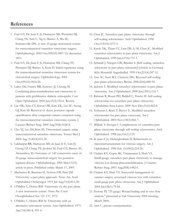## **References**

- 1. Fujii GY, De Juan E Jr, Humayun MS, Pieramici DJ, Chang TS, Awh C, Ng E, Barnes A, Wu SL, Sommerville DN. A new 25-gauge instrument system for transconjunctival sutureless vitrectomy surgery. Ophthalmology. 2002 Oct;109(10):1807-12; discussion 1813.
- 2. Fujii GY, De Juan E Jr, Humayun MS, Chang TS, Pieramici DJ, Barnes A, Kent D. Initial experience using the transconjunctival sutureless vitrectomy system for vitreoretinal surgery. Ophthalmology. 2002 Oct;109(10):1814-20.
- 3. Lahey JM, Francis RR, Kearney JJ, Cheung M. Combining phacoemulsification and vitrectomy in patients with proliferative diabetic retinopathy. Curr Opin Ophthalmol. 2004 Jun;15(3):192-6. Review.
- 4. Lee HK, Kim CY, Kwon OW, Kim EK, Lee SC, Seong GJ, Kim SS. Removal of dense posterior capsule opacification after congenital cataract extraction using the transconjunctival sutureless vitrectomy system. J Cataract Refract Surg. 2004 Aug;30(8):1626-8.
- 5. Cho YJ, Lee JM, Kim SS. Vitreoretinal surgery using transconjunctival sutureless vitrectomy. Yonsei Med J. 2004 Aug 31;45(4):615-20.
- 6. Lakhanpal RR, Humayun MS, de Juan Jr E, Lim JI, Chong LP, Chang TS, Javaheri M, Fujii GY, Barnes AC, Alexandrou TJ. Outcomes of 140 consecutive cases of 25-gauge transconjunctival surgery for posterior segment disease. Ophthalmology. 2005 May;112(5): article in press. Published online March 17, 2005.
- 7. Machemer R, Buettner H, Norton EW, Parel JM. Vitrectomy: a pars plana approach. Trans Am Acad Ophthalmol Otolaryngol. 1971 Jul-Aug;75(4):813-20.
- 8. O'Malley C, Heintz RM. Vitrectomy via the pars plana. A new instrument system. Trans Pac Coast Otoophthalmol Soc 121-137, 1972.
- 9. O'Malley C, Heintz RM Sr. Vitrectomy with an alternative instrument system. Ann Ophthalmol. 1975 Apr;7(4):585-8, 591-4.
- 10. Chen JC. Sutureless pars plana vitrectomy through self-sealing sclerotomies. Arch Ophthalmol. 1996 Oct;114(10):1273-5.
- 11. Kwok AK, Tham CC, Lam DS, Li M, Chen JC. Modified sutureless sclerotomies in pars plana vitrectomy. Am J Ophthalmol. 1999 Jun;127(6):731-3.
- 12. Schmidt J, Nietgen GW, Brieden S. [Self-sealing, sutureless sclerotomy in pars plana vitrectomy] [Article in German]. Klin Monatsbl Augenheilkd. 1999 Oct;215(4):247-51.
- 13. Assi AC, Scott RA, Charteris DG. Reversed self-sealing pars plana sclerotomies. Retina. 2000;20(6):689-92.
- 14. Jackson T. Modified sutureless sclerotomies in pars plana vitrectomy. Am J Ophthalmol. 2000 Jan;129(1):116-7.
- 15. Rahman R, Rosen PH, Riddell C, Towler H. Self-sealing sclerotomies for sutureless pars plana vitrectomy. Ophthalmic Surg Lasers. 2000 Nov-Dec;31(6):462-6.
- 16. Yeshurun I, Rock T, Bartov E. Modified sutureless sclerotomies for pars plana vitrectomy. Am J Ophthalmol. 2004 Nov;138(5):866-7.
- 17. Milibak T, Suveges I. Complications of sutureless pars plana vitrectomy through self-sealing sclerotomies. Arch Ophthalmol. 1998 Jan;116(1):119.
- 18. de Juan E Jr, Hickingbotham D. Refinements in microinstrumentation for vitreous surgery. Am J Ophthalmol. 1990 Feb 15;109(2):218-20.
- 19. Chalam KV, Gupta SK, Vinjamaram S, Shah VA. Small-gauge, sutureless pars plana vitrectomy to manage vitreous loss during phacoemulsification. J Cataract Refract Surg. 2003 Aug;29(8):1482-6.
- 20. Chalam KV, Shah VA. Successful management of cataract surgery associated vitreous loss with sutureless small-gauge pars plana vitrectomy. Am J Ophthalmol. 2004 Jul;138(1):79-84.
- 21. Ferrone PJ. "25 gauge: Wound healing and in vivo flow analysis," presented at Vail Vitrectomy 2004 meeting, March 2004.
- 22. Awh C, private communication.